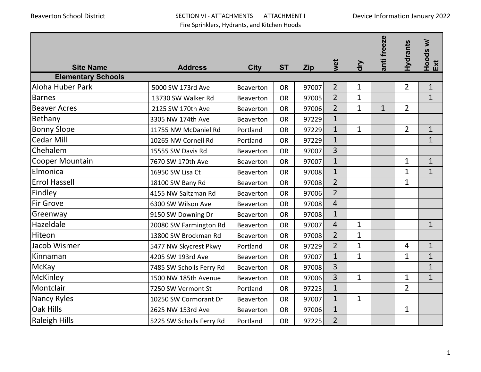## Beaverton School District SECTION VI - ATTACHMENTS ATTACHMENT I Fire Sprinklers, Hydrants, and Kitchen Hoods

| <b>Site Name</b>          | <b>Address</b>           | <b>City</b>      | <b>ST</b> | <b>Zip</b> | wet            | ξ            | anti freeze  | <b>Hydrants</b> | Hoods w/<br>Ext |
|---------------------------|--------------------------|------------------|-----------|------------|----------------|--------------|--------------|-----------------|-----------------|
| <b>Elementary Schools</b> |                          |                  |           |            |                |              |              |                 |                 |
| Aloha Huber Park          | 5000 SW 173rd Ave        | Beaverton        | <b>OR</b> | 97007      | $\overline{2}$ | $\mathbf 1$  |              | $\overline{2}$  | $\mathbf{1}$    |
| <b>Barnes</b>             | 13730 SW Walker Rd       | Beaverton        | <b>OR</b> | 97005      | $\overline{2}$ | $\mathbf{1}$ |              |                 | $\mathbf{1}$    |
| <b>Beaver Acres</b>       | 2125 SW 170th Ave        | <b>Beaverton</b> | <b>OR</b> | 97006      | $\overline{2}$ | $\mathbf{1}$ | $\mathbf{1}$ | $\overline{2}$  |                 |
| Bethany                   | 3305 NW 174th Ave        | <b>Beaverton</b> | <b>OR</b> | 97229      | $\overline{1}$ |              |              |                 |                 |
| <b>Bonny Slope</b>        | 11755 NW McDaniel Rd     | Portland         | <b>OR</b> | 97229      | $\overline{1}$ | $\mathbf{1}$ |              | $\overline{2}$  | $\mathbf{1}$    |
| <b>Cedar Mill</b>         | 10265 NW Cornell Rd      | Portland         | <b>OR</b> | 97229      | $\mathbf{1}$   |              |              |                 | $\mathbf{1}$    |
| Chehalem                  | 15555 SW Davis Rd        | Beaverton        | <b>OR</b> | 97007      | $\overline{3}$ |              |              |                 |                 |
| Cooper Mountain           | 7670 SW 170th Ave        | <b>Beaverton</b> | <b>OR</b> | 97007      | $\overline{1}$ |              |              | $\mathbf{1}$    | $\mathbf{1}$    |
| Elmonica                  | 16950 SW Lisa Ct         | <b>Beaverton</b> | <b>OR</b> | 97008      | $\overline{1}$ |              |              | $\mathbf{1}$    | $\mathbf{1}$    |
| <b>Errol Hassell</b>      | 18100 SW Bany Rd         | Beaverton        | <b>OR</b> | 97008      | $\overline{2}$ |              |              | 1               |                 |
| Findley                   | 4155 NW Saltzman Rd      | Beaverton        | <b>OR</b> | 97006      | $\overline{2}$ |              |              |                 |                 |
| <b>Fir Grove</b>          | 6300 SW Wilson Ave       | <b>Beaverton</b> | <b>OR</b> | 97008      | $\overline{4}$ |              |              |                 |                 |
| Greenway                  | 9150 SW Downing Dr       | Beaverton        | <b>OR</b> | 97008      | $\overline{1}$ |              |              |                 |                 |
| Hazeldale                 | 20080 SW Farmington Rd   | Beaverton        | <b>OR</b> | 97007      | $\overline{4}$ | $\mathbf{1}$ |              |                 | $\mathbf{1}$    |
| Hiteon                    | 13800 SW Brockman Rd     | <b>Beaverton</b> | <b>OR</b> | 97008      | $\overline{2}$ | $\mathbf{1}$ |              |                 |                 |
| Jacob Wismer              | 5477 NW Skycrest Pkwy    | Portland         | <b>OR</b> | 97229      | $\overline{2}$ | $\mathbf{1}$ |              | $\overline{4}$  | $\mathbf{1}$    |
| Kinnaman                  | 4205 SW 193rd Ave        | Beaverton        | <b>OR</b> | 97007      | $\overline{1}$ | $\mathbf{1}$ |              | $\mathbf{1}$    | $\mathbf{1}$    |
| McKay                     | 7485 SW Scholls Ferry Rd | Beaverton        | <b>OR</b> | 97008      | 3              |              |              |                 | $\mathbf{1}$    |
| McKinley                  | 1500 NW 185th Avenue     | <b>Beaverton</b> | <b>OR</b> | 97006      | 3              | $\mathbf{1}$ |              | $\mathbf{1}$    | $\mathbf{1}$    |
| Montclair                 | 7250 SW Vermont St       | Portland         | <b>OR</b> | 97223      | $\mathbf{1}$   |              |              | $\overline{2}$  |                 |
| <b>Nancy Ryles</b>        | 10250 SW Cormorant Dr    | <b>Beaverton</b> | <b>OR</b> | 97007      | $\overline{1}$ | $\mathbf{1}$ |              |                 |                 |
| <b>Oak Hills</b>          | 2625 NW 153rd Ave        | Beaverton        | <b>OR</b> | 97006      | $\mathbf{1}$   |              |              | $\mathbf{1}$    |                 |
| <b>Raleigh Hills</b>      | 5225 SW Scholls Ferry Rd | Portland         | <b>OR</b> | 97225      | $\overline{2}$ |              |              |                 |                 |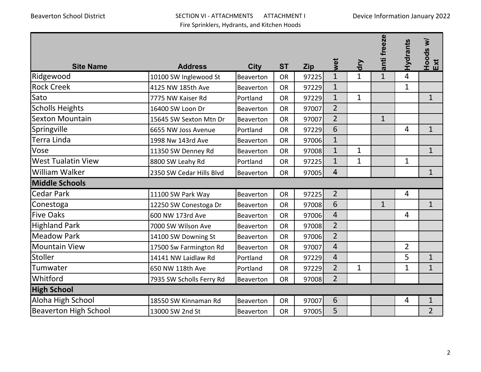## Beaverton School District SECTION VI - ATTACHMENTS ATTACHMENT I Fire Sprinklers, Hydrants, and Kitchen Hoods

| <b>Site Name</b>             | <b>Address</b>           | <b>City</b> | <b>ST</b> | <b>Zip</b> | wet                     | dry          | anti freeze  | Hydrants       | Hoods w/<br>Ext |
|------------------------------|--------------------------|-------------|-----------|------------|-------------------------|--------------|--------------|----------------|-----------------|
| Ridgewood                    | 10100 SW Inglewood St    | Beaverton   | <b>OR</b> | 97225      | $\mathbf{1}$            | $\mathbf{1}$ | $\mathbf{1}$ | 4              |                 |
| <b>Rock Creek</b>            | 4125 NW 185th Ave        | Beaverton   | <b>OR</b> | 97229      | $\mathbf{1}$            |              |              | $\mathbf{1}$   |                 |
| Sato                         | 7775 NW Kaiser Rd        | Portland    | <b>OR</b> | 97229      | $\mathbf{1}$            | $\mathbf{1}$ |              |                | $\mathbf{1}$    |
| <b>Scholls Heights</b>       | 16400 SW Loon Dr         | Beaverton   | <b>OR</b> | 97007      | $\overline{2}$          |              |              |                |                 |
| <b>Sexton Mountain</b>       | 15645 SW Sexton Mtn Dr   | Beaverton   | <b>OR</b> | 97007      | $\overline{2}$          |              | $\mathbf{1}$ |                |                 |
| Springville                  | 6655 NW Joss Avenue      | Portland    | <b>OR</b> | 97229      | 6                       |              |              | $\overline{4}$ | $\mathbf{1}$    |
| Terra Linda                  | 1998 Nw 143rd Ave        | Beaverton   | <b>OR</b> | 97006      | $\mathbf{1}$            |              |              |                |                 |
| <b>Vose</b>                  | 11350 SW Denney Rd       | Beaverton   | <b>OR</b> | 97008      | $\mathbf{1}$            | $\mathbf{1}$ |              |                | $\mathbf{1}$    |
| <b>West Tualatin View</b>    | 8800 SW Leahy Rd         | Portland    | <b>OR</b> | 97225      | $\mathbf{1}$            | $\mathbf{1}$ |              | $\mathbf{1}$   |                 |
| <b>William Walker</b>        | 2350 SW Cedar Hills Blvd | Beaverton   | <b>OR</b> | 97005      | $\overline{\mathbf{4}}$ |              |              |                | $\mathbf{1}$    |
| <b>Middle Schools</b>        |                          |             |           |            |                         |              |              |                |                 |
| <b>Cedar Park</b>            | 11100 SW Park Way        | Beaverton   | <b>OR</b> | 97225      | $\overline{2}$          |              |              | $\overline{4}$ |                 |
| Conestoga                    | 12250 SW Conestoga Dr    | Beaverton   | <b>OR</b> | 97008      | 6                       |              | $\mathbf{1}$ |                | $\mathbf{1}$    |
| <b>Five Oaks</b>             | 600 NW 173rd Ave         | Beaverton   | <b>OR</b> | 97006      | $\overline{4}$          |              |              | $\overline{4}$ |                 |
| <b>Highland Park</b>         | 7000 SW Wilson Ave       | Beaverton   | <b>OR</b> | 97008      | $\overline{2}$          |              |              |                |                 |
| <b>Meadow Park</b>           | 14100 SW Downing St      | Beaverton   | <b>OR</b> | 97006      | $\overline{2}$          |              |              |                |                 |
| <b>Mountain View</b>         | 17500 Sw Farmington Rd   | Beaverton   | <b>OR</b> | 97007      | $\overline{4}$          |              |              | $\overline{2}$ |                 |
| <b>Stoller</b>               | 14141 NW Laidlaw Rd      | Portland    | <b>OR</b> | 97229      | $\overline{4}$          |              |              | 5              | $\mathbf{1}$    |
| Tumwater                     | 650 NW 118th Ave         | Portland    | <b>OR</b> | 97229      | $\overline{2}$          | $\mathbf{1}$ |              | $\mathbf{1}$   | $\mathbf{1}$    |
| Whitford                     | 7935 SW Scholls Ferry Rd | Beaverton   | <b>OR</b> | 97008      | $\overline{2}$          |              |              |                |                 |
| <b>High School</b>           |                          |             |           |            |                         |              |              |                |                 |
| Aloha High School            | 18550 SW Kinnaman Rd     | Beaverton   | <b>OR</b> | 97007      | 6                       |              |              | $\overline{4}$ | $\mathbf{1}$    |
| <b>Beaverton High School</b> | 13000 SW 2nd St          | Beaverton   | <b>OR</b> | 97005      | 5                       |              |              |                | $\overline{2}$  |